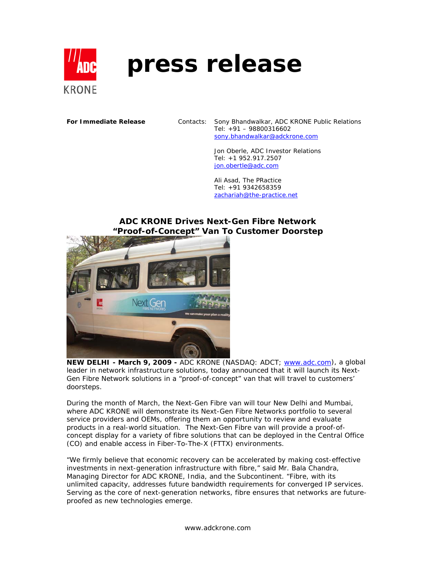

# **press release**

**For Immediate Release** Contacts: Sony Bhandwalkar, ADC KRONE Public Relations Tel: +91 – 98800316602 sony.bhandwalkar@adckrone.com

> Jon Oberle, ADC Investor Relations Tel: +1 952.917.2507 jon.obertle@adc.com

Ali Asad, The PRactice Tel: +91 9342658359 zachariah@the-practice.net

## **ADC KRONE Drives Next-Gen Fibre Network "Proof-of-Concept" Van To Customer Doorstep**



**NEW DELHI - March 9, 2009 -** ADC KRONE (NASDAQ: ADCT; www.adc.com), a global leader in network infrastructure solutions, today announced that it will launch its Next-Gen Fibre Network solutions in a "proof-of-concept" van that will travel to customers' doorsteps.

During the month of March, the Next-Gen Fibre van will tour New Delhi and Mumbai, where ADC KRONE will demonstrate its Next-Gen Fibre Networks portfolio to several service providers and OEMs, offering them an opportunity to review and evaluate products in a real-world situation. The Next-Gen Fibre van will provide a proof-ofconcept display for a variety of fibre solutions that can be deployed in the Central Office (CO) and enable access in Fiber-To-The-X (FTTX) environments.

"We firmly believe that economic recovery can be accelerated by making cost-effective investments in next-generation infrastructure with fibre," said Mr. Bala Chandra, Managing Director for ADC KRONE, India, and the Subcontinent. "Fibre, with its unlimited capacity, addresses future bandwidth requirements for converged IP services. Serving as the core of next-generation networks, fibre ensures that networks are futureproofed as new technologies emerge.

www.adckrone.com